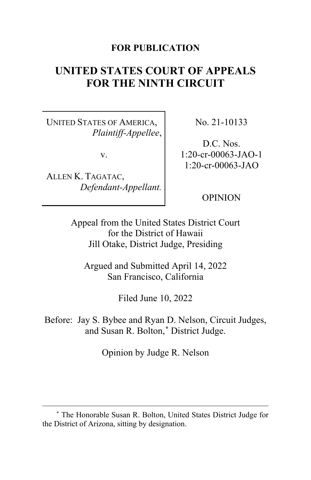## **FOR PUBLICATION**

# **UNITED STATES COURT OF APPEALS FOR THE NINTH CIRCUIT**

UNITED STATES OF AMERICA, *Plaintiff-Appellee*,

v.

ALLEN K. TAGATAC, *Defendant-Appellant.* No. 21-10133

D.C. Nos. 1:20-cr-00063-JAO-1 1:20-cr-00063-JAO

OPINION

Appeal from the United States District Court for the District of Hawaii Jill Otake, District Judge, Presiding

Argued and Submitted April 14, 2022 San Francisco, California

Filed June 10, 2022

Before: Jay S. Bybee and Ryan D. Nelson, Circuit Judges, and Susan R. Bolton,**[\\*](#page-0-0)** District Judge.

Opinion by Judge R. Nelson

<span id="page-0-0"></span>**<sup>\*</sup>** The Honorable Susan R. Bolton, United States District Judge for the District of Arizona, sitting by designation.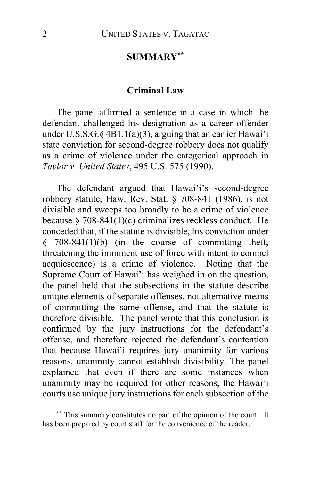# **SUMMARY[\\*\\*](#page-1-0)**

#### **Criminal Law**

The panel affirmed a sentence in a case in which the defendant challenged his designation as a career offender under U.S.S.G.§ 4B1.1(a)(3), arguing that an earlier Hawai'i state conviction for second-degree robbery does not qualify as a crime of violence under the categorical approach in *Taylor v. United States*, 495 U.S. 575 (1990).

The defendant argued that Hawai'i's second-degree robbery statute, Haw. Rev. Stat. § 708-841 (1986), is not divisible and sweeps too broadly to be a crime of violence because § 708-841(1)(c) criminalizes reckless conduct. He conceded that, if the statute is divisible, his conviction under  $§$  708-841(1)(b) (in the course of committing theft, threatening the imminent use of force with intent to compel acquiescence) is a crime of violence. Noting that the Supreme Court of Hawai'i has weighed in on the question, the panel held that the subsections in the statute describe unique elements of separate offenses, not alternative means of committing the same offense, and that the statute is therefore divisible. The panel wrote that this conclusion is confirmed by the jury instructions for the defendant's offense, and therefore rejected the defendant's contention that because Hawai'i requires jury unanimity for various reasons, unanimity cannot establish divisibility. The panel explained that even if there are some instances when unanimity may be required for other reasons, the Hawai'i courts use unique jury instructions for each subsection of the

<span id="page-1-0"></span>**<sup>\*\*</sup>** This summary constitutes no part of the opinion of the court. It has been prepared by court staff for the convenience of the reader.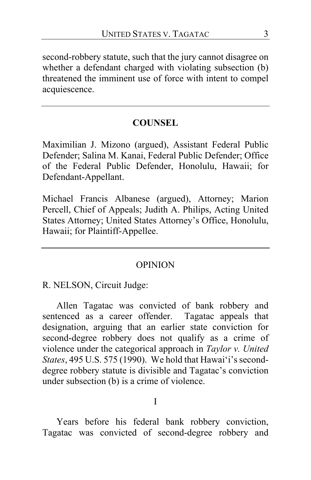second-robbery statute, such that the jury cannot disagree on whether a defendant charged with violating subsection (b) threatened the imminent use of force with intent to compel acquiescence.

# **COUNSEL**

Maximilian J. Mizono (argued), Assistant Federal Public Defender; Salina M. Kanai, Federal Public Defender; Office of the Federal Public Defender, Honolulu, Hawaii; for Defendant-Appellant.

Michael Francis Albanese (argued), Attorney; Marion Percell, Chief of Appeals; Judith A. Philips, Acting United States Attorney; United States Attorney's Office, Honolulu, Hawaii; for Plaintiff-Appellee.

## OPINION

R. NELSON, Circuit Judge:

Allen Tagatac was convicted of bank robbery and sentenced as a career offender. Tagatac appeals that designation, arguing that an earlier state conviction for second-degree robbery does not qualify as a crime of violence under the categorical approach in *Taylor v. United States*, 495 U.S. 575 (1990). We hold that Hawai'i's seconddegree robbery statute is divisible and Tagatac's conviction under subsection (b) is a crime of violence.

#### I

Years before his federal bank robbery conviction, Tagatac was convicted of second-degree robbery and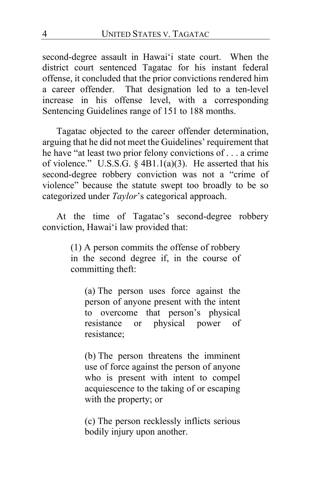second-degree assault in Hawai'i state court. When the district court sentenced Tagatac for his instant federal offense, it concluded that the prior convictions rendered him a career offender. That designation led to a ten-level increase in his offense level, with a corresponding Sentencing Guidelines range of 151 to 188 months.

Tagatac objected to the career offender determination, arguing that he did not meet the Guidelines' requirement that he have "at least two prior felony convictions of . . . a crime of violence." U.S.S.G. § 4B1.1(a)(3). He asserted that his second-degree robbery conviction was not a "crime of violence" because the statute swept too broadly to be so categorized under *Taylor*'s categorical approach.

At the time of Tagatac's second-degree robbery conviction, Hawai'i law provided that:

> (1) A person commits the offense of robbery in the second degree if, in the course of committing theft:

(a) The person uses force against the person of anyone present with the intent to overcome that person's physical resistance or physical power of resistance;

(b) The person threatens the imminent use of force against the person of anyone who is present with intent to compel acquiescence to the taking of or escaping with the property; or

(c) The person recklessly inflicts serious bodily injury upon another.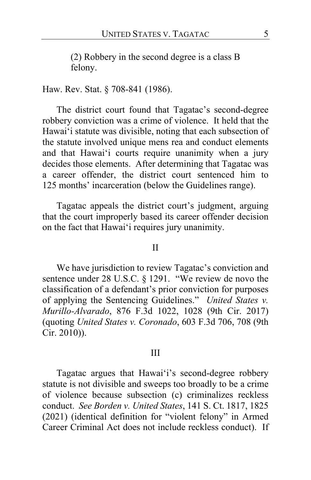(2) Robbery in the second degree is a class B felony.

#### Haw. Rev. Stat. § 708-841 (1986).

The district court found that Tagatac's second-degree robbery conviction was a crime of violence. It held that the Hawai'i statute was divisible, noting that each subsection of the statute involved unique mens rea and conduct elements and that Hawai'i courts require unanimity when a jury decides those elements. After determining that Tagatac was a career offender, the district court sentenced him to 125 months' incarceration (below the Guidelines range).

Tagatac appeals the district court's judgment, arguing that the court improperly based its career offender decision on the fact that Hawai'i requires jury unanimity.

#### II

We have jurisdiction to review Tagatac's conviction and sentence under 28 U.S.C. § 1291. "We review de novo the classification of a defendant's prior conviction for purposes of applying the Sentencing Guidelines." *United States v. Murillo-Alvarado*, 876 F.3d 1022, 1028 (9th Cir. 2017) (quoting *United States v. Coronado*, 603 F.3d 706, 708 (9th Cir. 2010)).

#### III

Tagatac argues that Hawai'i's second-degree robbery statute is not divisible and sweeps too broadly to be a crime of violence because subsection (c) criminalizes reckless conduct. *See Borden v. United States*, 141 S. Ct. 1817, 1825 (2021) (identical definition for "violent felony" in Armed Career Criminal Act does not include reckless conduct). If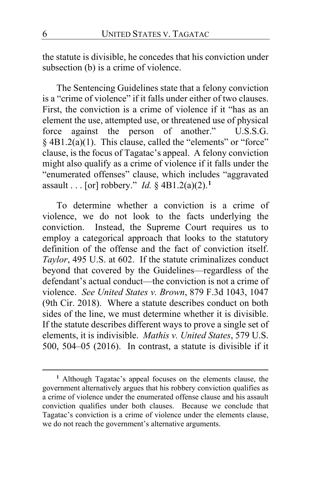the statute is divisible, he concedes that his conviction under subsection (b) is a crime of violence.

The Sentencing Guidelines state that a felony conviction is a "crime of violence" if it falls under either of two clauses. First, the conviction is a crime of violence if it "has as an element the use, attempted use, or threatened use of physical force against the person of another." U.S.S.G. § 4B1.2(a)(1). This clause, called the "elements" or "force" clause, is the focus of Tagatac's appeal. A felony conviction might also qualify as a crime of violence if it falls under the "enumerated offenses" clause, which includes "aggravated assault . . . [or] robbery." *Id.* § 4B1.2(a)(2).**[1](#page-5-0)**

To determine whether a conviction is a crime of violence, we do not look to the facts underlying the conviction. Instead, the Supreme Court requires us to employ a categorical approach that looks to the statutory definition of the offense and the fact of conviction itself. *Taylor*, 495 U.S. at 602. If the statute criminalizes conduct beyond that covered by the Guidelines—regardless of the defendant's actual conduct—the conviction is not a crime of violence. *See United States v. Brown*, 879 F.3d 1043, 1047 (9th Cir. 2018). Where a statute describes conduct on both sides of the line, we must determine whether it is divisible. If the statute describes different ways to prove a single set of elements, it is indivisible. *Mathis v. United States*, 579 U.S. 500, 504–05 (2016). In contrast, a statute is divisible if it

<span id="page-5-0"></span>**<sup>1</sup>** Although Tagatac's appeal focuses on the elements clause, the government alternatively argues that his robbery conviction qualifies as a crime of violence under the enumerated offense clause and his assault conviction qualifies under both clauses. Because we conclude that Tagatac's conviction is a crime of violence under the elements clause, we do not reach the government's alternative arguments.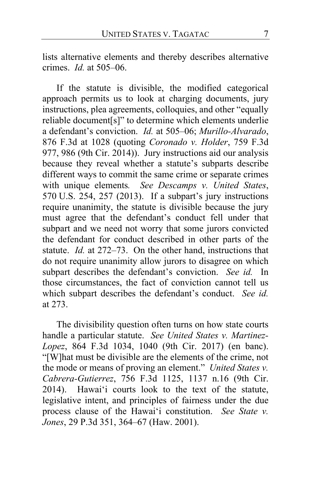lists alternative elements and thereby describes alternative crimes. *Id.* at 505–06.

If the statute is divisible, the modified categorical approach permits us to look at charging documents, jury instructions, plea agreements, colloquies, and other "equally reliable document[s]" to determine which elements underlie a defendant's conviction. *Id.* at 505–06; *Murillo-Alvarado*, 876 F.3d at 1028 (quoting *Coronado v. Holder*, 759 F.3d 977, 986 (9th Cir. 2014)). Jury instructions aid our analysis because they reveal whether a statute's subparts describe different ways to commit the same crime or separate crimes with unique elements*. See Descamps v. United States*, 570 U.S. 254, 257 (2013). If a subpart's jury instructions require unanimity, the statute is divisible because the jury must agree that the defendant's conduct fell under that subpart and we need not worry that some jurors convicted the defendant for conduct described in other parts of the statute. *Id.* at 272–73. On the other hand, instructions that do not require unanimity allow jurors to disagree on which subpart describes the defendant's conviction. *See id.* In those circumstances, the fact of conviction cannot tell us which subpart describes the defendant's conduct. *See id.*  at 273.

The divisibility question often turns on how state courts handle a particular statute. *See United States v. Martinez-Lopez*, 864 F.3d 1034, 1040 (9th Cir. 2017) (en banc). "[W]hat must be divisible are the elements of the crime, not the mode or means of proving an element." *United States v. Cabrera-Gutierrez*, 756 F.3d 1125, 1137 n.16 (9th Cir. 2014). Hawai'i courts look to the text of the statute, legislative intent, and principles of fairness under the due process clause of the Hawai'i constitution. *See State v. Jones*, 29 P.3d 351, 364–67 (Haw. 2001).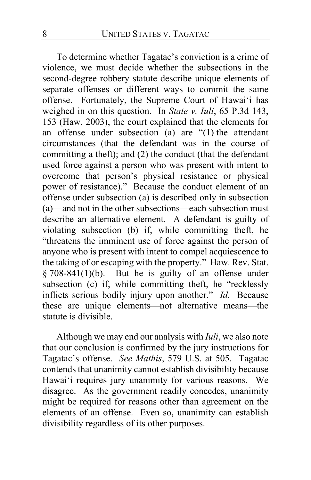To determine whether Tagatac's conviction is a crime of violence, we must decide whether the subsections in the second-degree robbery statute describe unique elements of separate offenses or different ways to commit the same offense. Fortunately, the Supreme Court of Hawai'i has weighed in on this question. In *State v. Iuli*, 65 P.3d 143, 153 (Haw. 2003), the court explained that the elements for an offense under subsection (a) are "(1) the attendant circumstances (that the defendant was in the course of committing a theft); and (2) the conduct (that the defendant used force against a person who was present with intent to overcome that person's physical resistance or physical power of resistance)." Because the conduct element of an offense under subsection (a) is described only in subsection (a)—and not in the other subsections—each subsection must describe an alternative element. A defendant is guilty of violating subsection (b) if, while committing theft, he "threatens the imminent use of force against the person of anyone who is present with intent to compel acquiescence to the taking of or escaping with the property." Haw. Rev. Stat.  $§ 708-841(1)(b)$ . But he is guilty of an offense under subsection (c) if, while committing theft, he "recklessly inflicts serious bodily injury upon another." *Id.* Because these are unique elements—not alternative means—the statute is divisible.

Although we may end our analysis with *Iuli*, we also note that our conclusion is confirmed by the jury instructions for Tagatac's offense. *See Mathis*, 579 U.S. at 505. Tagatac contends that unanimity cannot establish divisibility because Hawai'i requires jury unanimity for various reasons. We disagree. As the government readily concedes, unanimity might be required for reasons other than agreement on the elements of an offense. Even so, unanimity can establish divisibility regardless of its other purposes.